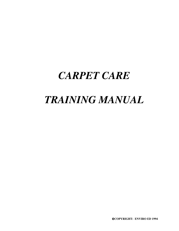# *CARPET CARE*

# *TRAINING MANUAL*

**COPYRIGHT: ENVIRO ED 1994**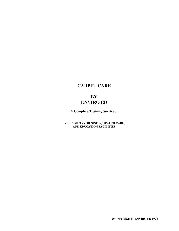## **CARPET CARE**

## **BY ENVIRO ED**

**A Complete Training Service…**

**FOR INDUSTRY, BUSINESS, HEALTH CARE, AND EDUCATION FACILITIES**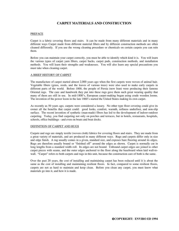#### **CARPET MATERIALS AND CONSTRUCTION**

#### PREFACE

Carpet is a fabric covering floors and stairs. It can be made from many different materials and in many different ways Carpet made from different material fibers and by different construction methods are often cleaned differently. If you use the wrong cleaning procedure or chemicals on certain carpets you can ruin them.

Before you can maintain your carpet correctly, you must be able to identify which kind it is. You will learn the various types of carpet yarn fibers, carpet backs, carpet pads, construction methods, and installation methods. You will learn their strengths and weaknesses. You will also learn any special precautions you must take when cleaning carpet.

#### A BRIEF HISTORY OF CARPET

The manufacture of carpet started almost 2,000 years ago when the first carpets were woven of animal hair. Vegetable fibers (grass, reeds, and the leaves of various trees) were also used to make early carpets in different parts of the world. Before 1800, the people of Persia (now Iran) were producing their famous Oriental rugs. The care and handwork they put into these rugs gave them such great wearing quality that many of them are still in use. In mid-1800's, European carpet-making began using crude wooden looms. The invention of the power loom in the late 1860's started the United States making its own carpet.

As recently as 50 years ago, carpets were considered a luxury. No other type floor covering could give its owner all the benefits that carpet could: good looks, comfort, warmth, softness underfoot, and non-slip surface. The recent invention of synthetic (man-made) fibers has led to the development of indoor-outdoor carpeting. Today, you find carpeting not only on porches and terraces, but in hotels, restaurants, hospitals, schools, office buildings - and even on boats and boat docks.

#### DEFINITION OF CARPET AND RUGS

Carpets and rugs are simply textile (woven cloth) fabrics for covering floors and stairs. They are made from a great variety of materials, and are produced in many different ways. Rugs and carpets differ only in size and edge finish. A rug usually comes in a given, standard size, and exposes bare flooring around its edges. Rugs are therefore usually bound or "finished off" around the edges as shown. Carpet is normally cut in long lengths from a standard width roll. Its edges are not bound. Unbound carpet edges are joined to other carpet pieces with seams, and the outer edges anchored to the floor along the baseboard when laid wall-towall. "Carpet" refers to both carpets and rugs in this unit, because the construction care of both is the same.

Over the past 20 years, the cost of installing and maintaining carpet has been reduced until it is about the same as the cost of installing and maintaining resilient floors. In fact, compared to some resilient floors, carpets are not as hard to maintain and keep clean. Before you clean any carpet, you must know what materials go into it, and how it is made.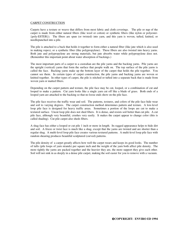#### CARPET CONSTRUCTION

Carpets have a texture or weave that differs from most fabric and cloth coverings. The pile or nap of the carpet is made from either natural fibers (like wool or cotton) or synthetic fibers (like nylon or polyester- {poly-ESTER}). The fibers are spun (or twisted) into yarn, and this yarn is woven, tufted, knitted, or needlepunched into a pile.

The pile is attached to a back that holds it together to form either a natural fiber (like jute which is also used in making ropes), or a synthetic fiber (like polypropylene). These fibers are also twisted into heavy yarns. Both jute and polypropylene are strong materials, but jute absorbs water while polypropylene does not. (Remember this important point about water absorption of backings.)

The most important parts of a carpet to a custodian are the pile yarns and the backing yarns. Pile yarns are the upright (vertical) yarns that form the surface that people walk on. The top surface of the pile yarns is called the face. Backing yarns make up the bottom layer of the carpet that holds the pile together. You cannot see them. In certain types of carpet construction, the pile yarns and backing yarns are woven or knitted together. In other types of carpet, the pile is stitched or tufted into a separate back that is made from woven yarn or matted fibers.

Depending on the carpet pattern and texture, the pile face may be cut, looped, or a combination of cut and looped to make a pattern. Cut yarn looks like a single yarn cut off like a blade of grass. Both ends of a looped yarn are attached to the backing so that no loose ends show on the pile face.

The pile face receives the traffic wear and soil. The patterns, textures, and colors of the pile face hide wear and soil to varying degrees. The carpet construction method determines pattern and texture. A low-level loop pile face is designed for heavy traffic areas. Sometimes a portion of the loops are cut to make a textured surface. Uncut loop pile does not shed fibers. It is dense, and resists soil better than cut pile. A cut pile face, although very beautiful, crushes very easily. It makes the carpet appear to change color (this is called shading). Cut pile carpet also sheds fibers.

A shag face has either a looped or cut pile 1 inch or more in length. Its ragged appearance helps to hide dirt and soil. A frieze or twist face is much like a shag, except that the yarns are twisted and are shorter than a regular shag. A multi-level loop pile face creates various textured patterns. A multi-level loop pile face with random shearing produces beautiful sculptured (curved) patterns.

The pile density of a carpet greatly affects how well the carpet wears and keeps its good looks. The number of tufts (pile loops of yarn strands) per square inch and the weight of the yarn both affect pile density. The more tightly the yarns are packed together and the heavier they are, the more support they give each other. Soil will not sink in as deeply in a dense pile carpet, making the soil easier for you to remove with a vacuum.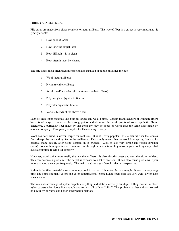#### FIBER YARN MATERIAL

Pile yarns are made from either synthetic or natural fibers. The type of fiber in a carpet is very important. It greatly affects:

- 1. How good it looks
- 2. How long the carpet lasts
- 3. How difficult it is to clean
- 4. How often it must be cleaned

The pile fibers most often used in carpet that is installed in public buildings include:

- 1. Wool (natural fibers)
- 2. Nylon (synthetic fibers)
- 3. Acrylic and/or modacrylic mixtures (synthetic fibers)
- 4. Polypropylene (synthetic fibers)
- 5. Polyester (synthetic fibers)
- 6. Various blends of the above fibers

Each of these fiber materials has both its strong and weak points. Certain manufacturers of synthetic fibers have found ways to increase the strong points and decrease the weak points of some synthetic fibers. Therefore, a particular fiber made by one company may be better or worse than the same fiber made by another company. This greatly complicates the cleaning of carpet.

Wool has been used in woven carpet for centuries. It is still very popular. It is a natural fiber that comes from sheep. Its outstanding feature its resilience. This simply means that the wool fiber springs back to its original shape quickly after being stepped on or crushed. Wool is also very strong and resists abrasion (wear). When these qualities are combined in the right construction, they make a good looking carpet that lasts a long time if cared for properly.

However, wool stains more easily than synthetic fibers. It also absorbs water and can, therefore, mildew. This can become a problem if the carpet is exposed to a lot of wet soil. It can also cause problems if you must shampoo the carpet frequently. The main disadvantage of wool is that it is expensive.

**Nylon** is the fiber material most commonly used in carpet. It is noted for its strength. It wears a very long time, and comes in many colors and color combinations. Some nylon fibers hide soil very well. Nylon also resists stains.

The main disadvantage of nylon carpets are pilling and static electricity buildup. Pilling occurs in older nylon carpets when loose fibers tangle and form small balls or "pills." This problem has been almost solved by newer nylon yarns and better construction methods.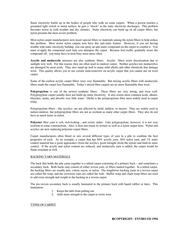Static electricity builds up in the bodies of people who walk on some carpets. When a person touches a grounded light switch or metal surface, he gets a "shock" as the static electricity discharges. This problem becomes worse in cold weather and dry climates. Static electricity can build up on all carpet fibers, but nylon presents the most severe problem.

Most nylon carpet manufacturers now insert special fibers or materials among the nylon fibers to help reduce this problem. Most newer nylon carpets now have this anti-static feature. However, if you are having trouble with static electricity buildup, you can spray an anti-static compound on the carpet to combat it. You must re-apply the compound each time you shampoo the carpet. Because foot traffic gradually wears the compound off, you many have to treat busy areas more often.

**Acrylic and modacrylic** mixtures are also synthetic fibers. Acrylic fibers resist discoloration due to sunlight very well. For this reason, they are often used in outdoor carpet. Neither acrylics nor modacrylics are damaged by most acids. They also stand up well to many mild alkalis and other chemicals that damage wool. This quality allows you to use certain stain-removers on acrylic carpet that you cannot use on wool carpet.

Some of the earliest acrylic carpet fibers were very flammable. But mixing acrylic fibers with modacrylic fibers made the carpet less flammable. Today's mixed fiber carpets are no more flammable than wool.

**Polypropylene** is one of the newest synthetic fibers. These fibers are very strong, and wear well. Polypropylene carpet usually does not build up static electricity. It also resists most common acids, alkalis, bleaches, stains, and absorbs very little water. Olefin is the polypropylene fiber most widely used in carpet today.

Polypropylene fibers - like acrylics- are not affected by mold, mildew, or insects. They are widely used in indoor-outdoor, but polypropylene fibers are not as resilient as many other carpet fibers. They also do not have as much luster as nylon.

**Polyester** fiber yarn is soft, rich-looking, and resists stains. Like polypropylene, however, it is not very resilient in some constructions. Also, it does not retain its texture as well as a nylon carpet does. Nylon and acrylics are now replacing polyester carpet fibers.

Carpet manufacturers often blend or mix several different types of yarn in a pile to combine the best properties of each. As an example, a carpet that has 69% acrylic yarn, 30% nylon yarn, and 1% static control material has a good appearance (from the acrylic), good strength (from the nylon) and built-in static control. If the acrylic and nylon content are reduced, and modacrylic yarn is added, the carpet would be flame retardant as well.

#### BACKING YARN MATERIALS

The back that holds the pile yarns together is a tufted carpet consisting of a primary back – and sometimes a secondary back. Both backs may consist of either woven yarn, or fibers matted together. In a tufted carpet, the backing fibers are usually jute, cotton, rayon, or nylon. The lengthwise backing yarns in a woven carpet are called the warp, and the crosswise ones are called the waft. Stuffer warp and chain warp fibers are used to add extra strength and weight to the backing in a woven carpet.

The pre-woven secondary back is usually laminated to the primary back with liquid rubber or latex. This lamination:

- 1. Keeps the tufts from pulling out.
- 2. Adds more strength to the carpet to resist wear.

#### TYPES OF CARPET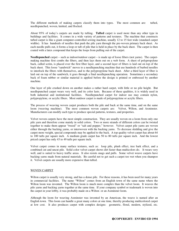The different methods of making carpets classify them into types. The most common are: tufted, needlepunched, woven, knitted, and flocked.

About 95% of today's carpets are made by tufting. **Tufted** carpet is used more than any other type in buildings and facilities. It comes in a wide variety of patterns and textures. The machine that constructs tufted carpet is like a giant computer-controlled sewing machine, usually 12 to 15 feet wide (standard carpet widths). It has hundreds of needles that push the pile yarn through the pre-woven primary back sheet. As each needle pulls out, it forms a loop or tuft of pile that is held in place by the back sheet. The carpet is then coated with a latex compound that keeps the loops from pulling out of the carpet.

**Needlepunched** carpet – such as indoor/outdoor carpet – is made up of loose fibers (not yarns). The carpetmaking machine first combs the fibers, and then lays them out on a web form. A sheet of polypropylene back, called scrim, is placed over the first fiber layer, and a second layer of fibers is laid out on top of the back sheet. This loose "sandwich" moves to a needlepunching machine that use hundreds of barbed needles to interlock the fibers with themselves, and to the polypropylene back sheet. After a third layer of fiber is laid out on top of the sandwich, it goes through a final needlepunching operation. Sometimes a secondary back of foam rubber or similar material is applied before the design is printed or embossed by another machine.

One layer of pile crushed down on another makes a rather hard carpet, with little or no pile height. But needlepunched carpet wears very well, and its color lasts. Because of these qualities, it is widely used in both industrial and institutional facilities. Needlepunched carpet for indoor use may contain nylon, polypropylene, or acrylic fibers. Most outdoor carpet is made of polypropylene or acrylic fibers.

The process of weaving woven carpet produces both the pile and back at the same time, and on the same loom (weaving machine). The most common woven carpets are: Velvet, Wilton, and Axminster. Manufacturers can modify each type to produce special patterns, textures, and properties.

Velvet woven carpets have the most simple construction. They are usually woven on a loom from only one pile yarn and therefore come mainly in solid colors. Two or more strands of different colors can be twisted together to make them appear "tweed" or "salt and pepper," however. Velvet carpet pile yarns are woven either through the backing yarns, or interwoven with the backing yarns. To decrease skidding and give the carpet more weight, special compounds may be applied to the back. A top quality velvet carpet has about 64 to 100 tufts per square inch. A medium grade carpet has 50 to 80 tufts per square inch. And the lowest priced carpet has only 43 to 49 tufts per square inch.

Velvet carpet comes in many surface textures, such as: loop pile, plush effect, tree bark effect, and a combined cut and uncut pile. Solid color velvet carpet shows dirt faster than multicolors do. It wears very well, and is suited to heavy traffic areas. It also resists snags and pulls. Some velvet weave carpets have backing yarns made from natural materials. Be careful not to get such a carpet too wet when you shampoo it. Velvet carpets are usually more expensive than tufted.

#### WOVEN CARPET

Wilton carpet is usually very strong, and has a dense pile. For these reasons, it has been used for many years in commercial facilities. The name "Wilton" comes from an English town of the same name where the Wilton loom was invented. The Wilton loom is much more complex than the velvet loom. It weaves the pile yarns and backing yarns together at the same time. If your company symbol or trademark is woven into the carpet in your lobby, it was probably made on a Wilton or an Axminster loom.

Although the loom for weaving Axminster was invented by an American, the weave is named after an English town. This loom can handle a great many colors at one time, thereby producing multicolored carpet at low cost. It also produces carpet with complex designs: geometric, floral, modern, stylized, etc.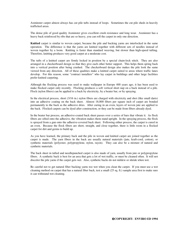Axminster carpet almost always has cut pile tufts instead of loops. Sometimes the cut pile sheds in heavily trafficked areas.

The dense pile of good quality Axminster gives excellent crush resistance and long wear. Axminster has a heavy back reinforced by ribs that are so heavy, you can roll the carpet in only one direction.

**Knitted** carpet is similar to woven carpet, because the pile and backing yarns are interlocked in the same operation. The difference is that the yarns are knitted together with different sets of needles instead of woven together by a loom. Knitting is faster than standard weaving, but slower than high-speed tufting. Therefore, knitting produces very good carpet at a moderate cost.

The tufts of a knitted carpet are firmly locked in position by a special chain-lock stitch. They are also arranged in a checkerboard design so that they give each other better support. This helps them spring back into a vertical position after being crushed. The checkerboard design also makes the pile look the same viewed from any direction. All of these qualities make a knitted carpet suited to areas where traffic lanes develop. For this reason, some "contract installers" who lay carpet in buildings and other large facilities prefer knitted carpeting.

Although the flocking process was used to make wallpaper in Europe 400 years ago, it has been used to make flocked carpet only recently. Flocking produces a soft vertical short nap on a back instead of a pile. Flock (nylon fibers) can be applied to a back by electricity, by a beater bar, or by spraying.

In the electrical process, short (3/16 in.) nylon fibers are charged with electricity and shot (like small darts) into an adhesive coating on the back sheet. Almost 18,000 fibers per square inch of carpet are bonded permanently to the back as the adhesive dries. After curing in an oven, layers of woven jute are applied to the back. Flocked carpets can be dyed after construction, or they can be made from fibers already dyed.

In the beater bar process, an adhesive-coated back sheet passes over a series of bars that vibrate it. As flock fibers are sifted onto the adhesive, the vibration makes them stand upright. In the spraying process, the flock is sprayed from a gun onto the adhesive-covered back sheet. Following either process, the carpet is cured in an oven. Because the flock fibers are short, straight, and close together, there is little room in a flocked carpet for dirt and germs to build up.

As you have learned, the primary back and the pile in woven and knitted carpet are joined together as the carpet is made. The yarn fibers in the back are usually natural materials (jute, kraft-cord, cotton), or synthetic materials (polyester, polypropylene, nylon, rayon). They can also be a mixture of natural and synthetic materials.

The back sheet in tufted and needlepunched carpet is also made of yarn, usually from jute or polypropylene fibers. A synthetic back is best for an area that gets a lot of wet traffic, or must be cleaned often. It will not discolor the pile yarns if the carpet gets wet. Also, synthetic backs do not mildew or shrink when wet.

Be careful not to get natural fiber backing yarns too wet when you clean the carpet. If you must use a wet cleaning method on carpet that has a natural fiber back, test a small (25 sq. ft.) sample area first to make sure it can withstand wet cleaning.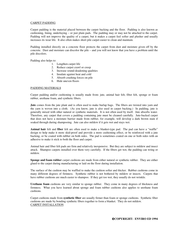#### CARPET PADDING

Carpet padding is the material placed between the carpet backing and the floor. Padding is also known as cushioning, lining, underlaying – or just plain pads. The padding may or may not be attached to the carpet. Padding will not improve the quality of a carpet, but it makes a carpet feel softer and plusher and usually increases its wear life. It also often makes short pile carpet easier to clean and maintain.

Padding installed directly on a concrete floor protects the carpet from dust and moisture given off by the concrete. Dust and moisture can discolor the pile – and you will not know that you have a problem until the pile discolors.

Padding also helps to:

- 1. Lengthen carpet life
- 2. Reduce carpet crawl or creep
- 3. Increase sound-deadening qualities
- 4. Insulate against heat and cold
- 5. Absorb crushing forces on pile
- 6. Hide uneven floors

#### PADDING MATERIALS

Carpet padding and/or cushioning is usually made from: jute, animal hair felt, fiber felt, sponge or foam rubber, urethane foam, and synthetic fibers.

**Jute** comes from the jute plant and is often used to make burlap bags. The fibers are twisted into yarn and the yarn is woven into a cloth. (As you know, jute is also used in carpet backing.) In padding, jute is generally mixed with other natural or synthetic materials. It is not often used by itself. Jute absorbs water. Therefore, any carpet that covers a padding containing jute must be cleaned carefully. Jute-backed carpet that does not have a moisture barrier made from rubber, for example, will develop a dark brown stain if soaked through during shampooing. Jute can also mildew if it gets wet and stays wet.

**Animal hair** felt and **fiber** felt are often used to make a blanket-type pad. The pad can have a "waffle" design to help make it more skid-proof and provide a more cushioning effect, or be reinforced with a jute backing, or be coated with rubber on both sides. The pad is sometimes coated on one or both sides with an adhesive to make it stick to both the floor and carpet.

Animal hair and fiber felt pads are firm and relatively inexpensive. But they are subject to mildew and insect attack. Shampoo carpets installed over them very carefully. If the fibers get wet, the padding can wring or mildew.

**Sponge and foam rubber** carpet cushions are made from either natural or synthetic rubber. They are either glued to the carpet during manufacturing or laid on the floor during installation.

The surface of the cushion may be waffled to make the cushion softer and thicker. Rubber cushions come in many different degrees of firmness. Synthetic rubber is not bothered by mildew or insects. Carpets that have rubber cushions are much easier to shampoo. If they get too wet, they usually do not wrinkle.

**Urethane foam** cushions are very similar to sponge rubber. They come in many degrees of thickness and firmness. What you have learned about sponge and foam rubber cushions also applies to urethane foam cushions.

Carpet cushions made from **synthetic fiber** are usually firmer than foam or sponge cushions. Synthetic fiber cushions are made by bonding synthetic fibers together to form a blanket. They do not mildew. CARPET INSTALLATION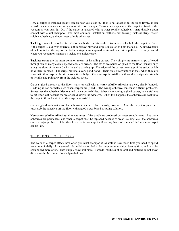How a carpet is installed greatly affects how you clean it. If it is not attached to the floor firmly, it can wrinkle when you vacuum or shampoo it. For example, "waves" may appear in the carpet in front of the vacuum as you push it. Or, if the carpet is attached with a water-soluble adhesive, it may dissolve upon contact with a wet shampoo. The most common installation methods are: tacking, tackless strips, water soluble adhesives, and non-water soluble adhesives.

**Tacking** is one of the oldest installation methods. In this method, tacks or staples hold the carpet in place. If the carpet is laid over concrete, a thin narrow plywood strip is installed to hold the tacks. A disadvantage of tacking is that the tops of the tacks or staples are exposed to air and can rust or pull out. Be very careful when you vacuum or shampoo a tacked or stapled carpet.

**Tackless strips** are the most common means of installing carpet. They simply are narrow strips of wood through which many evenly spaced tacks are driven. The strips are nailed or glued to the floor (usually only along the sides of the room) with the tacks sticking up. The edges of the carpet lie on top of the strips, which hold them in place. The strips provide a very good bond. Their only disadvantage is that, when they are sewn with thin carpets, the strips sometimes bulge. Certain carpets installed with tackless strips also stretch or wrinkle and pull away from the tackless strips.

Carpets glued directly to the floor, stairs, or wall with a **water soluble adhesive** are very firmly bonded. (Padding is not normally used when carpets are glued.) The wrong adhesive can cause difficult problems. Sometimes the adhesive dries out and the carpet wrinkles. When shampooing a glued carpet, be careful not to get it too wet because the water can dissolve the adhesive. When this happens, the adhesive can soak into the carpet pile and stain it, or the carpet can wrinkle.

Carpets glued with water soluble adhesives can be replaced easily, however. After the carpet is pulled up, just scrub the adhesive off the floor with a good water-based stripping solution.

**Non-water soluble adhesives** eliminate most of the problems produced by water soluble ones. But these adhesives are permanent, and when a carpet must be replaced because of wear, staining, etc., the adhesives cause a major problem. After the old carpet is taken up, the floor may have to be sanded before a new carpet can be laid.

#### THE EFFECT OF CARPET COLOR

The color of a carpet affects how often you must shampoo it, as well as how much time you need to spend vacuuming it daily. As a general rule, solid and/or dark colors require more daily cleaning time, and must be shampooed more often. They simply show soil more. Tweeds (mixtures of colors) and patterns do not show dirt as much. Medium colors help to hide soil.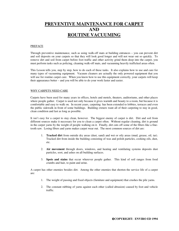## **PREVENTIVE MAINTENANCE FOR CARPET AND ROUTINE VACUUMING**

#### PREFACE

Through preventive maintenance, such as using walk-off mats at building entrances – you can prevent dirt and soil deposits on your carpets so that they will look good longer and will not wear out so quickly. To remove dirt and soil from carpet before foot traffic and other activity grind them deep into the carpet, you must perform tasks such as policing, cleaning walk-off mats, and vacuuming heavily trafficked areas often.

This Lesson tells you, step by step, how to do each of these tasks. It also explains how to use and care for many types of vacuuming equipment. Vacuum cleaners are actually the only powered equipment that you will use for routine carpet care. When you know how to use this equipment correctly, your carpets will keep their appearance better – and you will be able to do your work faster and easier.

#### WHY CARPETS NEED CARE

Carpets have been used for many years in offices, hotels and motels, theaters, auditoriums, and other places where people gather. Carpet is used not only because it gives warmth and beauty to a room, but because it is comfortable and easy to walk on. In recent years, carpeting has been extended to lobbies, terraces and even the public sidewalk in front of some buildings. Building owners want all of their carpeting to stay in good, clean condition and last as long as possible.

It isn't easy for a carpet to stay clean, however. The biggest enemy of carpet is dirt. Dirt and soil from different sources make it necessary for you to clean a carpet often. Without regular cleaning, dirt is ground in the carpet yarns by the weight of people walking on it. Finally, dirt cuts off some of the fibers like a finetooth saw. Losing fibers and yarns makes carpet wear out. The most common sources of dirt are:

- 1. **Tracked dirt** from outside dry areas (dust, sand) and wet or oily areas (mud, grease, oil, tar). Tracked dirt from inside the building consisting of wax and polish particles, cooking oils, dust, etc.
- 2. **Air movement** through doors, windows, and heating and ventilating systems deposits dust particles, soot, and ashes on all building surfaces.
- 3. **Spots and stains** that occur wherever people gather. This kind of soil ranges from food crumbs and hair, to paint and urine.

A carpet has other enemies besides dirt. Among the other enemies that shorten the service life of a carpet are:

- 1. The weight of passing and fixed objects (furniture and equipment) that crushes the pile yarns.
- 2. The constant rubbing of yarns against each other (called abrasion) caused by foot and vehicle traffic.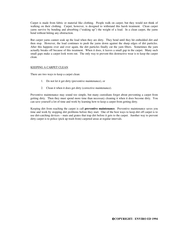Carpet is made from fabric or material like clothing. People walk on carpet, but they would not think of walking on their clothing. Carpet, however, is designed to withstand this harsh treatment. Clean carpet yarns survive by bending and absorbing ("soaking up") the weight of a load. In a clean carpet, the yarns bend without hitting any obstruction.

But carpet yarns cannot soak up the load when they are dirty. They bend until they hit embedded dirt and then stop. However, the load continues to push the yarns down against the sharp edges of dirt particles. After this happens over and over again, the dirt particles finally cut the yarn fibers. Sometimes the yarn actually breaks off because of this treatment. When it does, it leaves a small gap in the carpet. Many such small gaps make a carpet look worn out. The only way to prevent this destructive wear is to keep the carpet clean.

#### KEEPING A CARPET CLEAN

There are two ways to keep a carpet clean:

- 1. Do not let it get dirty (preventive maintenance), or
- 2. Clean it when it does get dirty (corrective maintenance).

Preventive maintenance may sound too simple, but many custodians forget about preventing a carpet from getting dirty. Then they must spend more time than necessary cleaning it when it does become dirty. You can save yourself a lot of time and work by learning how to keep a carpet from getting dirty.

Keeping dirt from reaching the carpet is call **preventive maintenance**. Preventive maintenance saves you time and work by stopping dirt problems before they start. One of the best ways to keep dirt off carpet is to use dirt-catching devices – mats and grates that trap dirt before it gets to the carpet. Another way to prevent dirty carpet is to police (pick up trash from) carpeted areas at regular intervals.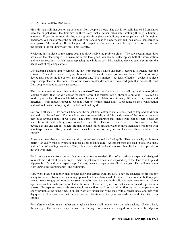#### DIRECT-CATCHING DEVICES

Most dirt and soil that gets on carpet comes from people's shoes. The dirt is normally knocked from shoes onto the carpet during the first two or three steps that a person takes after walking through a building entrance. If you do not trap this dirt, it can spread throughout the building as other people track through it. Therefore, you must protect the carpet next to entrances or it will wear faster and look worse than carpet in other parts of the building. If that happens, the carpet next to entrances must be replaced before the rest of the carpet in the building wears out. This is costly.

Replacing just a piece of the carpet does not always solve the problem either. The new section often does not match the older carpet. To make the carpet look good, you should really replace both the worn section and unworn sections – which means replacing the whole carpet! Dirt-catching devices can help prevent the heavy cost of replacing carpets.

Dirt-catching devices simply remove the dirt from people's shoes and trap it before it is tracked past the entrance. Some devices are costly – others are not. Some do a good job – some do not. The most costly device may not do the job as well as a cheaper one. The simplest – but least effective – device is a piece carpet scrap placed at the door. One of the most complex devices is a motorized grate that brushes the dirt from people's shoes as they walk across it.

The most common dirt-catching devices is a **walk-off mat**. Walk-off mats are small rugs and runners (short lengths of rugs) that trap dirt and/or moisture before it is tracked into or through a building. They can be used to protect bare floors and finishes, as well as carpets. Mats come in many different sizes, colors, and materials – from molder rubber to coconut fibers to flexible metal links. Depending on their construction and material, mats can trap dry dirt, or both wet and dry dirt.

Soft walk-off mats – like coconut fiber and the carpet fiber entrance mat are designed to trap and hold both wet and dry dirt and soil. Coconut fiber mats are especially useful in sandy areas of the country, because they hold several pounds of wet sand. The carpet fiber entrance mat (made from carpet fibers) soaks up water from rain and melting snow, as well as traps dirt. This keeps bare floors free from wet spots that people can slip and fall on. When soft mats become full of dirt and water, remove them and clean them with a wet-type vacuum. Keep an extra mat for each location so that you can clean one while the other is in service.

Absorbent mats also trap both wet and dry dirt and soil caused by food spills. They are usually made from olefin – an easily washed synthetic that has a soft, plush texture. Absorbent mats are used in cafeteria lines, and in front of vending machines. They often have a rigid border that makes them lie flat so that people do not trip over them.

Walk-off mats made from scraps of carpet are not recommended. First of all, ordinary carpet isn't designed to knock the dirt off shoes and trap it. Also, carpet scraps often have exposed edges that tend to roll up and trip people. If you do use carpet scraps for mats, be sure to tape or sew all loose edges. This will keep them from unraveling (coming apart) and rolling up.

Hard vinyl plastic or rubber mats protect floor and carpets from dry dirt. They are designed to protect any heavy traffic area from wear, including approaches to escalators and elevators. They come in both opaque (cannot see through) and transparent (see-through) materials, and both solid and open construction. Some open construction mats are perforated with holes. Others have pieces of mat material linked together in a pattern. Transparent mats made from vinyl protect floor surfaces and allow flooring or carpet patterns to show through at the same time. You can wash off rubber and vinyl mats with a garden hose, and they will dry quickly. Keep an extra mat on hand for each location, so that you can wash one while the other is in service.

For safety underfoot, many rubber and vinyl mats have small nubs or teeth on their backing. Under a load, the nubs grip the floor and keep the mat from sliding. Some mats have a rigid border around the edges to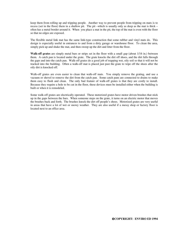keep them from rolling up and tripping people. Another way to prevent people from tripping on mats is to recess (set in the floor) them in a shallow pit. The pit –which is usually only as deep as the mat is thick – often has a metal border around it. When you place a mat in the pit, the top of the mat is even with the floor so that no edges are exposed.

The flexible metal link mat has the same link-type construction that some rubber and vinyl mats do. This design is especially useful in entrances to and from a dirty garage or warehouse floor. To clean the area, simply pick up and shake the mat, and then sweep up the dirt and litter from the floor.

**Walk-off grates** are simply metal bars or strips set in the floor with a small gap (about 1/16 in.) between them. A catch pan is located under the grate. The grate knocks the dirt off shoes, and the dirt falls through the gaps and into the catch pan. Walk-off grates do a good job of trapping wet, oily soil so that it will not be tracked into the building. Often a walk-off mat is placed just past the grate to wipe off the shoes after the oily dirt is knocked off.

Walk-off grates are even easier to clean that walk-off mats. You simply remove the grating, and use a vacuum or shovel to remove the dirt from the catch pan. Some catch pans are connected to drains to make them easy to flush and clean. The only bad feature of walk-off grates is that they are costly to install. Because they require a hole to be cut in the floor, these devices must be installed either when the building is built or when it is remodeled.

Some walk-off grates are electrically operated. These motorized grates have motor driven brushes that stick up in the gaps between the bars. When someone steps on the grate, it turns on an electric motor that moves the brushes back and forth. The brushes knock the dirt off people's shoes. Motorized grates are very useful in areas that have a lot of wet or snowy weather. They are also useful if a messy shop or factory floor is located next to an office area.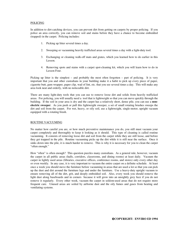#### POLICING

In addition to dirt-catching devices, you can prevent dirt from getting on carpets by proper policing. If you police an area correctly, you can remove soil and stains before they have a chance to become embedded (trapped) in the carpet. Policing includes:

- 1. Picking up litter several times a day.
- 2. Sweeping or vacuuming heavily trafficked areas several times a day with a light-duty tool.
- 3. Exchanging or cleaning walk-off mats and grates, which you learned how to do earlier in this Lesson.
- 4. Removing spots and stains with a carpet spot-cleaning kit, which you will learn how to do in Lesson Four.

Picking up litter is the simplest – and probably the most often forgotten – part of policing. It is very important that you and other custodians in your building make it a habit to pick up every piece of paper, cigarette butt, gum wrapper, paper clip, wad of lint, etc. that you see several times a day. This will make any area look neat and orderly, with no noticeable dirt.

There are many light-duty tools that you can use to remove loose dirt and solids from heavily trafficked areas. For policing, you will usually need a tool that is lightweight so that you can move quickly through the building. If the soil in your area is dry and the carpet has a relatively short, dense pile, you can use a **nonelectric sweeper**. As you push or pull this lightweight sweeper, a set of small rotating brushes sweeps the dirt and soil from the carpet. For wet, heavy, or oily soil, use a lightweight, single-motor, upright vacuum equipped with a rotating brush.

#### ROUTINE VACUUMING

No matter how careful you are, or how much preventive maintenance you do, you still must vacuum your carpet completely and thoroughly to keep it looking as it should. This type of cleaning is called routine vacuuming. It consists of removing loose dirt and soil from the carpet while they are still loose, and before they get trapped in the pile. Routine vacuuming picks up the dirt while it is still near the surface. Once it sinks down into the pile, it is much harder to remove. This is why it is necessary for you to clean the carpet "often enough."

How "often" is often enough? This question puzzles many custodians. As a general rule, however, vacuum the carpet in all public areas (halls, corridors, classrooms, and dining rooms) at least daily. Vacuum the carpet in lightly used areas (libraries, executive offices, conference rooms, and stores) only every other day or even weekly. In any case, it is very important to vacuum the entire carpet on a definite schedule. At least once a week you should move the furniture before vacuuming in areas that are used a lot so that you can pick up the dust and dirt around the furniture legs and under the furniture. Use a heavy-duty upright vacuum to ensure removing all of the dirt, grit, and deeply embedded soil. Also, every week you should remove the light dust along baseboards and in corners because it will grow into an unsightly grey fuzz if you do not remove it regularly. Every other week, vacuum the carpet in seldom-used areas that do not require more frequent care. Unused areas are soiled by airborne dust and the oily fumes and gases from heating and ventilating systems.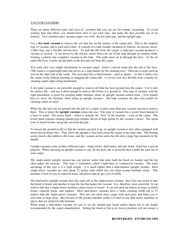#### VACUUM CLEANERS

There are many different types and sizes of vacuums that you can use for routine vacuuming. To avoid wasting time and effort, you should know how to use each type, and make the best possible use of its features. Two common types vacuum carpet very well: the dry-tank type, and the upright type.

Use a **dry-tank vacuum** to remove the soil that lies on the surface of the carpet pile. This is the simplest type of vacuum, and is used most often. It consists of a tank (usually mounted on wheels), an electric motor, a filter bag, and a flexible suction hose. To pull the dirt from the carpet, a tank-type vacuum produces a vacuum or suction. A fan driven by the electric motor blows air out of the tank through an exhaust outlet, forming a partial (not complete) vacuum in the tank. This pulls more air in through the hose. As the air enters the hose, it picks up and pulls in the dirt and soil from the carpet.

You need only very simple attachments to vacuum carpet. Insert a curved wand into the end of the hose. (The wand is a lightweight tube that serves as a long handle for the cleaning tool.) Then put a carpet pick up tool on the other end of the wand. The tool must have a hard bottom – steel or plastic – so that it slides over the carpet easily without catching or snagging the carpet pile. A crevice tool on a flexible hose is handy for cleaning carpet edges along baseboards.

A dry-tank vacuum is not powerful enough to remove dirt that has been ground into the carpet. Use it only for surface dirt – and use it often enough to remove dirt before it is ground in. This type of vacuum, with the right attachment, is good for reaching under furniture where an upright vacuum cannot reach. (You usually have to move the furniture when using an upright vacuum.) Dry-tank vacuums are also very useful for cleaning carpet on stairs.

When the dirt and soil are ground into the pile of a carpet, it takes more than just vacuum suction to remove them. This is where the **upright vacuum** comes into use. This type of vacuum has a power head instead of a hose or wand. The power head – which is actually the "foot" of the machine – rests on the carpet. The power head contains rotating tubular-type brushes driven at high speeds by the vacuum's motor. The spiral rows of brush bristles sweep the soil from the pile.

To loosen the ground-in dirt so that the suction can pick it up, an upright vacuum is also often equipped with motor driven beater bars. They allow the upright to beat and sweep the carpet at the same time. The beating action knocks the stubborn dirt loose, and the vacuum action sucks the dirt into a large bag mounted on the handle.

Upright vacuums come in three different types: single-motor, dual-motor, and pile brush. Each has a special purpose. When choosing an upright vacuum to use, do not pick one so powerful that it pulls the yarn out of your carpet.

The single-motor upright vacuum has one electric motor that turns both the brush (or beater) and the fan (that makes the suction). This type is sometimes called a light-duty or commercial vacuum. The main advantage of this type is it is light weight – it is much lighter than a dual-monitor upright vacuum. Most single-motor vacuums are only about 12 inches wide which lets you clean around furniture easily. This machine is best for use in cluttered areas, and places that do get a lot of traffic.

The dual-motor upright vacuum does the same job as the single-motor vacuum, but it has one motor to turn the brush or beater and another to turn the fan that makes the vacuum. It is, therefore, more powerful. It can remove dirt that a single-motor machine cannot reach or loosen. It can also pick up objects as large as match books, cigarette packs, and napkins. Most dual-motor vacuums have a wider cleaning width (up to 27 inches) than the single-motor vacuums. This lets you clean more carpet with each pass, and helps you to save time in large areas. But because of the greater machine width, it is hard to use dual-motor machines in places that are cluttered with furniture.

When using a dual-motor vacuum, be sure to set the tubular-type brush and/or beater bar to the height recommended by the carpet manufacturer. Setting the brush or bar in its lowest position will not ensure a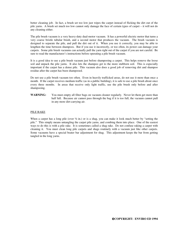better cleaning job. In fact, a brush set too low just wipes the carpet instead of flicking the dirt out of the pile yarns. A brush set much too low cannot only damage the face of certain types of carpet – it will not do any cleaning either.

The pile brush vacuum is a very heavy-duty dual-motor vacuum. It has a powerful electric motor that turns a very coarse bristle tubular brush, and a second motor that produces the vacuum. The brush vacuum is designed to separate the pile, and pull the dirt out of it. When you use it correctly, you may be able to lengthen the time between shampoos. But if you use it incorrectly, or too often, its power can damage your carpets. Some pile brush vacuums can actually pull the yarn right out of the carpet if you are not careful. Be sure to read the manufacturer's instructions before operating a pile brush vacuum.

It is a good idea to use a pile brush vacuum just before shampooing a carpet. This helps remove the loose soil and unpack the pile yarns. It also lets the shampoo get to the more stubborn soil. This is especially important if the carpet has a dense pile. This vacuum also does a good job of removing dirt and shampoo residue after the carpet has been shampooed.

Do not use a pile brush vacuum too often. Even in heavily trafficked areas, do not use it more than once a month. If the carpet receives medium traffic (as in a public building), it is safe to use a pile brush about once every three months. In areas that receive only light traffic, use the pile brush only before and after shampooing.

**WARNING:** You must empty all filter bags on vacuum cleaner regularly. Never let them get more than half full. Because air cannot pass through the bag if it is too full, the vacuum cannot pull in any more dirt-carrying air.

#### PILE RAKE

When a carpet has a long pile (over  $\frac{1}{2}$  in.) or is a shag, you can make it look much better by "setting the pile." This simply means untangling the carpet pile yarns, and combing them into place. One of the easiest ways to do this is with a pile rake. It is sometimes called a shag rake. Do not confuse raking a carpet with cleaning it. You must clean long pile carpets and shags routinely with a vacuum just like other carpets. Some vacuums have a special beater bar adjustment for shag. This adjustment keeps the bar from getting tangled in the long yarns.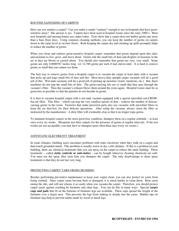#### ROUTINE SANITIZING OF CARPETS

How can you sanitize a carpet? Can you make a carpet "sanitary" enough to use in hospitals that have germsensitive areas? The answer is yes. Carpets have been used in hospital rooms since the early 1960's. Most new hospitals and nursing homes use carpet today. Tests show that a carpet does not harbor germs any more than a bare floor does. Using common cleaning methods, you can keep the number of germs on carpets down to the same level as on bare floors. Both keeping the carpet dry and cleaning up spills promptly helps to reduce the number of germs.

When you clean and sanitize germ-sensitive hospital carpet, remember that germs depend upon dirt, dust, and moisture to live, grow, and move about. Germs ride the small bits of dust and droplets of moisture in the air as they are blown or carried about. You should also remember that germs are very, very small. Some germs are only 0.0000787 inches long (or 12,700 germs per inch if laid end-to-end). It is hard to remove germs so small that you cannot see them.

The best way to remove germs from a hospital carpet is to vacuum the carpet at least daily with a vacuum that picks up and traps small bits of dust and dirt. Most heavy-duty upright carpet vacuums will do a good job of this. Wet-tank vacuums will do a good job of picking up moisture (water, medicine, etc.). But, these machines do not trap the small bits of dust. The germ-carrying bits are so small that they pass through the vacuum's filter. Then the vacuum's exhaust blows them around the room again. Hospital rooms must be as germ-free as possible so that the patients do not breathe in germs.

It is best to vacuum hospital carpet with a wet-tank vacuum equipped with a special microbial (mi-CROWbee-ul) filter. This filter – which can trap the very smallest specks of dust – reduces the number of diseasecausing germs in the room. Factories that make precision parts also use vacuums with microbial filters to keep the air dust-free for their delicate operations. After using the vacuum, always clean the filter as instructed by the manufacturer. A dirty filter will eventually clog so that it no longer traps germs.

To maintain hospital carpets in the most germ-free condition, shampoo them on a regular schedule – at least once every six weeks. (Hospitals test their carpets for the presence of germs at regular intervals. If the test results are not acceptable, you may have to shampoo more often than once every six weeks.)

#### ANITSTATIC ELECTRICITY TREATMENT

In some climates, building users encounter problems with static electricity when they walk on a carpet and then touch grounded metal. This problem is usually worse in dry, cold climates. If this is a problem in your building, there are chemical treatments that you can spray on the carpet to reduce the static buildup. These treatments – called **static controls or anti-statics** – can be bought wherever cleaning chemicals are sold. You must use the spray after each time you shampoo the carpet. The only disadvantage to these spray treatments is that they do not last very long.

#### PROTECTING CARPET YARN FROM CRUSHING

Besides performing preventive maintenance to keep your carpet clean, you can also protect its yarns from being crushed. Once carpet yarns become bent or damaged, it is much harder to clean them. Bent yarns entrap the dirt, and will not release it as easily when you vacuum the carpet. Therefore, you should protect carpet yarns against crushing by furniture and chair legs. You can do this in many ways. Special **carpet cups and pads** that fit on the bottoms of furniture legs are available. These cups spread the weight of the furniture over a larger area. This prevents the legs from sinking so deeply into the yarns. Rubber tips on furniture legs help to prevent marks made by wood or metal legs.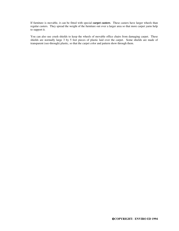If furniture is movable, it can be fitted with special **carpet casters**. These casters have larger wheels than regular casters. They spread the weight of the furniture out over a larger area so that more carpet yarns help to support it.

You can also use crush shields to keep the wheels of movable office chairs from damaging carpet. These shields are normally large 3 by 5 feet pieces of plastic laid over the carpet. Some shields are made of transparent (see-through) plastic, so that the carpet color and pattern show through them.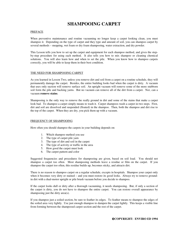## **SHAMPOOING CARPET**

#### **PREFACE**

When preventive maintenance and routine vacuuming no longer keep a carpet looking clean, you must shampoo it. Depending on the type of carpet and they type and amount of soil, you can shampoo carpet by several methods – mopping, wet foam or dry foam shampooing, water extraction, and dry powder.

This Lesson tells you how to set up the carpet and equipment for each shampoo method, and gives the stepby-step procedure for using each method. It also tells you how to mix shampoo or cleaning chemical solutions. You will also learn how and when to set the pile. When you know how to shampoo carpets correctly, you will be able to keep them in their best condition.

#### THE NEED FOR SHAMPOOING CARPET

As you learned in Lesson Two, unless you remove dirt and soil from a carpet on a routine schedule, they will permanently damage the carpet. Besides, the entire building looks bad when the carpet is dirty. A vacuum that uses only suction will remove surface soil. An upright vacuum will remove some of the more stubborn soil form the pile and backing yarns. But no vacuum can remove all of the dirt from a carpet. Nor, can a vacuum **remove stains**.

Shampooing is the only way to remove the really ground in dirt and some of the stains that make a carpet look bad. To shampoo a carpet simply means to wash it. Carpet shampoos wash a carpet in two steps. First, dirt and soil are dissolved and suspended (floated) in the shampoo. Then, both the shampoo and dirt rise to the top of the carpet. When they are dry, you pick them up with a vacuum.

#### FREQUENCY OF SHAMPOOING

How often you should shampoo the carpets in your building depends on:

- 1. Which shampoo method you use
- 2. The type of carpet pile yarn
- 3. The type of dirt and soil in the carpet
- 4. The type of activity or traffic in the area
- 5. How good the carpet must look
- 6. The carpet pattern and color

Suggested frequencies and procedures for shampooing are given, based on soil load. You should not shampoo a carpet too often. Most shampooing methods leave a residue or film on the carpet. If you shampoo the carpet too often, this residue builds up, becomes sticky, and attracts dirt.

There is no reason to shampoo carpet on a regular schedule, excepts in hospitals. Shampoo your carpet only when it becomes very dirty or stained – and you must restore its good looks. Always try to remove groundin dirt with a dual-motor upright or pile brush vacuum before you decide to shampoo.

If the carpet looks dull or dirty after a thorough vacuuming, it needs shampooing. But, if only a section of the carpet is dirty, you do not have to shampoo the entire carpet. You can restore overall appearance by shampooing just the dirty area(s).

If you shampoo just a soiled section, be sure to feather its edges. To feather means to shampoo the edges of the soiled area very lightly. Use just enough shampoo to dampen the carpet lightly. This keeps a visible line from forming between the shampooed carpet section and the rest of the carpet.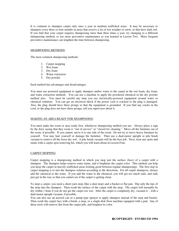It is common to shampoo carpet only once a year in medium trafficked areas. It may be necessary to shampoo every three or four months in areas that receive a lot of wet weather or snow, or that have dark soil. If you find that your carpet requires shampooing more than three times a year, try changing to a different shampooing method, or use more preventive maintenance as you learned in Lesson Two. More frequent preventive maintenance can lengthen the time between shampooing.

#### SHAMPOOING METHODS

The most common shampooing methods:

- 1. Carpet mopping
- 2. Wet foam
- 3. Dry foam
- 4. Water extraction
- 5. Dry powder

Each method has advantages and disadvantages.

You must use powered equipment to apply shampoo and/or water to the carpet in the wet foam, dry foam, and water extraction methods. You can use a machine to apply the powdered chemical in the dry powder method also. You must be careful any time you use electrically-powered equipment around water or chemical solutions. You can get an electrical shock if the power cord is cracked or the plug is damaged. Also, the plug should have three prongs so that the equipment is grounded. If you find any cracks in the cord, or the plug does not have three prongs, tell you supervisor about it.

#### MAKING AN AREA READY FOR SHAMPOOING

You must make the room or area ready first, whichever shampooing method you use. Always place a sign by the door saying that they room is "out of service" or "closed for cleaning." Move all the furniture out of the room, if possible. If you cannot, move it to one side of the room. Do not try to move heavy furniture by yourself. You may hurt yourself or damage the furniture. Then use a dual-motor upright or pile brush vacuum to remove all the loose dry soil. A pile brush vacuum will do the best job. Next, treat any spots and stains with a carpet spot-removing kit, which you will learn about in Lesson Four.

#### CARPET MOPPING

Carpet mopping is a shampooing method in which you mop just the surface (face) of a carpet with a shampoo. The shampoo helps remove some stains, and it brightens the carpet color. This method can help you keep the carpet in heavily trafficked areas looking good between regular shampooings. The first step in carpet mopping is to mix the shampoo solution according to the directions. For all carpet shampoos, always add the chemical to the water. If you add the water to the chemical, you will get too much suds, and suds just get in the way so that you cannot see if the carpet is getting clean.

To mop a carpet, you need a short-yarn mop (like a dust mop) and a bucket or flat pan. Dip only the tips of the mop into the shampoo. Then scrub the surface of the carpet with the mop. The carpet will normally be dry within 1 hour if you do not get the carpet too wet. After the carpet is completely dry, vacuum it – with a dual-motor upright vacuum, if possible.

You can also use an aerosol can or a pump-type sprayer to apply shampoo instead of the mop and bucket. Then scrub the carpet face with a brush, a mop, or a single-disk floor machine equipped with a pad. Any of these tools will remove dirt from the carpet pile, and brighten its color.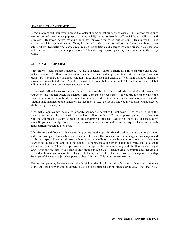#### FEATURES OF CARPET MOPPING

Carpet mopping will help you improve the looks of some carpet quickly and easily. This method takes only one person and very little equipment. It is especially suited to heavily trafficked lobbies, hallways, and elevators. However, carpet mopping does not remove very much dirt or soil. This method is not recommended for synthetic carpet fibers, for example, which tend to hold oily soil more stubbornly than natural fibers. Synthetic fiber carpets require machine agitation and a carpet shampoo brush. Also, shampoo builds up on the carpet if you mop it too often. Then the carpets yarns get sticky, and dirt sticks to them very easily.

#### WET FOAM SHAMPOOING

With the wet foam shampoo method, you use a specially equipped single-disk floor machine and a wetpickup vacuum. The floor machine should be equipped with a shampoo solution tank and a carpet shampoo brush. First, prepare the shampoo solution. Like most cleaning chemicals, wet foam shampoo normally comes in a concentrated form. Add the concentrate to water before you use it. The instructions on the label will tell you how much concentrate and water to mix.

Use a small pail and a measuring cup to mix the chemicals. Remember, add the chemical to the water. If you do not use enough water, the shampoo can "gum up" on your carpets. If you use too much water, the shampoo solution may not be strong enough to remove the dirt. After you mix the shampoo, pour it into the solution tank mounted on the handle of the machine. Protect the floor while you are pouring with a piece of plastic or a protective pad.

It normally requires two people to properly shampoo a carpet with wet foam. One person applies the shampoo and scrubs the carpet with the single-disk floor machine. The other person picks up the shampoo with the wet-pickup vacuum as soon as the scrubbing is finished. Or, if you must use this method by yourself, you can simply allow the shampoo solution to dry thoroughly on the carpet. Then, use a dualmotor upright vacuum to pick it up.

After the area and floor machine are ready, pre-wet the shampoo brush and work up a foam on the plastic or pad before you place the machine on the carpet. Then use the floor machine to both apply the shampoo and scrub the carpet. The control lever or button on the handle of the machine controls how much shampoo flows from the solution tank onto the carpet. To begin, move the lever or button slightly, and let a small amount of shampoo (about ½ cup) flow onto the carpet. Then start scrubbing with the floor machine right away. Run the machine with a side-to-side motion in a 5 by 5 ft. square area. Continue until the area is covered with foam and is scrubbed. Then go to the next area (about the same size) and shampoo it. Overlap the edges of the area you just shampooed at least 2 inches. This helps prevent streaks.

The person operating the wet vacuum should pick up the dirty foam right after you scrub an area to remove all the soil. Do not over-wet the carpet. If you do, the carpet can shrink, stretch, or mildew – and smell bad.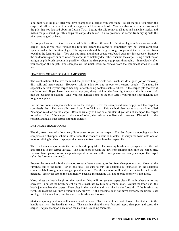You must "set the pile" after you have shampooed a carpet with wet foam. To set the pile, you brush the carpet pile all in one direction with a long-handled broom or brush. You can also use a special rake to set the pile that you learned about in Lesson Two. Setting the pile removes all foot and machine marks, and makes the pile stand up. This helps the carpet dry faster. It also prevents the carpet from drying with the pile yarns tangled or bent.

Do not put furniture back on the carpet while it is still wet, if possible. Furniture legs can leave stains on the carpet. But, if you must replace the furniture before the carpet is completely dry, put small cardboard squares under the furniture legs. The squares should be large enough to prevent the carpet pile from touching the furniture legs. You can buy small aluminum-coated cardboard cups for this purpose. Remove the cardboard square or cups when the carpet is completely dry. Then vacuum the carpet, using a dual-motor upright or pile brush vacuum, if possible. Clean the shampooing equipment thoroughly – immediately after you shampoo the carpet. The shampoo will be much easier to remove from the equipment when it is still wet.

#### FEATURES OF WET FOAM SHAMPOOING

The combination of the wet foam and the powerful single-disk floor machines do a good job of removing dirt, soil, and many stains. However, this is a job for one or two very careful people. You must be especially careful if your carpet, backing, or cushioning contains natural fibers. If the carpet gets too wet, it can be ruined. If you have someone to help you, always pick up the foam right away so that it cannot soak into the backing or padding. Also, you can damage some of the pile yarn if you run the floor machine too long in one place.

For the wet foam shampoo method to do the best job, leave the shampooed area empty until the carpet is completely dry. This normally takes from 3 to 24 hours. This method also leaves a sticky film called "shampoo residue" on the carpet. Residue usually will not be a problem if you do not shampoo the carpet too often. But, if the carpet is shampooed often, the residue acts like a dirt magnet. Dirt sticks to the residue, and makes the carpet soil more quickly.

#### DRY FOAM SHAMPOOING

The dry foam method allows very little water to get on the carpet. The dry foam shampooing machine compresses a shampoo solution into a foam that contains about 10% water. It sprays the foam onto one or more scrubbing brushes or sponges that work the foam down into the carpet pile.

The dry foam shampoo coats the dirt with a slippery film. The rotating brushes or sponges loosen the dirt and bring it to the carpet surface. The film helps prevent the dirt from sinking back into the carpet pile. Because foam pickup is not a separate operation in this method, one person can easily shampoo the carpet (after the furniture is moved).

Prepare the area and mix the shampoo solution before starting to dry foam shampoo an area. Move all the furniture out of the room – or to one side. Be sure to mix the shampoo as instructed on the shampoo container label, using a measuring cup and a bucket. Mix the shampoo well, and pour it into the tank on the machine. Screw the cap on the tank tightly, because the machine will not operate properly if it is loose.

Next, adjust the brush height on the machine. You will not get the carpet clean if the brushes are not set correctly. You set the brush height on most machines by turning a round knob. Adjust the knob until the brush just touches the carpet. Then plug in the machine and twist the handle forward. If the brush is set right, the machine will move forward very slowly. If the machine does not move forward, the brush is set too high. If the machine jerks forward, the brush is set too low.

Start shampooing next to a wall at one end of the room. Turn on the foam control switch located next to the handle and twist the handle forward. The machine should move forward, apply shampoo, and scrub the carpet. (Apply shampoo only when the machine is moving forward).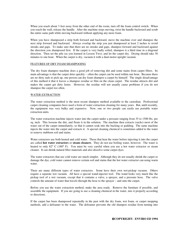When you reach about 3 feet away from the other end of the room, turn off the foam control switch. When you reach the wall, release the handle. After the machine stops moving, twist the handle backward and scrub the entire same path while moving backward without applying any more foam.

When you have shampooed a strip both forward and backward, move the machine over and shampoo the next strip forward and backward. Always overlap the strip you just shampooed at least 2 inches to avoid streaks and gaps. To make sure that there are no streaks and gaps, shampoo forward and backward against the direction you shampooed first. If the carpet is very badly soiled, shampoo it a third time in a diagonal direction. Then set the pile (as you learned in Lesson Two), and let the carpet dry. Drying should take 30 minutes to one hour. When the carpet is dry, vacuum it with a dual-motor upright vacuum.

#### FEATURES OF DRY FOAM SHAMPOOING

The dry foam shampoo machine does a good job of removing dirt and some stains from carpet fibers. Its main advantage is that the carpet dries quickly – often the carpet can be used within one hour. Because there are no dirty suds to pick up, one person can dry foam shampoo a carpet by himself. The single disadvantage of this method it that it leaves a shampoo residue or film on the clean carpet. The residue attracts dirt and makes the carpet get dirty faster. However, the residue will not usually cause problems if you do not shampoo the carpet too often.

#### WATER EXTRACTION

The water extraction method is the most recent shampoo method available to the custodian. Professional carpet cleaning companies have used a form of water extraction cleaning for many years. But, until recently, the equipment was very bulky and expensive. Now, one or two people can easily use portable water extraction units.

The water extraction machine injects water into the carpet under a pressure ranging from 35 to 1500 lbs. per sq. inch. This loosens the dirt, and floats it in the solution. The machine then extracts (sucks) most of the water out of the carpet immediately, so that it cannot soak into the backing or padding. The same machine injects the water into the carpet and extracts it. A special cleaning chemical is sometimes added to the water to remove stubborn soil and stains.

Water extractors use both heated and cold water. Those that heat the water before injecting it into the carpet are called **hot water extractors** or **steam cleaners**. They do not use boiling water, however. The water is heated to only 82° C (180° F). You must be very careful when you use a hot water extractor or steam cleaner. It can shrink natural fiber materials and also dissolve some carpet dyes.

The water extractors that use cold water are much simpler. Although they do not usually shrink the carpet or damage the dye, cold water cannot remove certain soil and stains that the hot water extractor can using warm water.

There are many different types of water extractors. Some have their own wet-pickup vacuum. Others require a separate wet vacuum. All have a special wand-injector tool. The wand looks very much like the pickup tool of a wet vacuum, except that it contains a valve, a sprayer, and a pressure hose. The valve controls the amount of water that travels through the hose to the sprayer – and onto the carpet.

Before you use the water extraction method, make the area ready. Remove the furniture if possible, and assemble the equipment. If you are going to use a cleaning chemical in the water, mix it properly according to directions.

If the carpet has been shampooed repeatedly in the past with the dry foam, wet foam, or carpet mopping methods, add a defoamer to the water. The defoamer prevents the old shampoo residue from turning into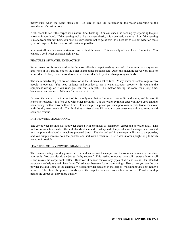messy suds when the water strikes it. Be sure to add the defoamer to the water according to the manufacturer's instructions.

Next, check to see if the carpet has a natural fiber backing. You can check the backing by separating the pile yarns with your hand. If the backing looks like a woven plastic, it is a synthetic material. But if the backing is made from natural fibers, you must be very careful not to get it wet. It is best not to use hot water on these types of carpets. In fact, use as little water as possible.

You must allow a hot water extractor time to heat the water. This normally takes at least 15 minutes. You can use a cold water extractor right away.

#### FEATURES OF WATER EXTRACTION

Water extraction is considered to be the most effective carpet washing method. It can remove many stains and types of soil that no one of the other shampooing methods can. Also, this machine leaves very little or no residue. In fact, it can be used to remove the residue left by other shampooing methods.

The main disadvantage of water extraction is that it takes a lot of time. Many water extractors require two people to operate. You need patience and practice to use a water extractor properly. If you use the equipment wrong, or if you rush, you can ruin a carpet. This method ties up the room for a long time, because it can take up to 24 hours for the carpet to dry.

Because the water extraction method is the only one that will remove certain dirt and stains, and because it leaves no residue, it is often used with other methods. Use the water extractor after you have used another shampooing method two or three times. For example, suppose you shampoo your carpets twice each year with the dry foam method. The third time – after about 18 months – use water extraction to remove old shampoo residue.

#### DRY POWDER SHAMPOOING

The dry powder method uses a powder treated with chemicals to "shampoo" carpet and no water at all. This method is sometimes called the soil absorbent method. Just sprinkle the powder on the carpet, and work it into the pile with a hand or machine-powered brush. The dirt and soil in the carpet will stick to the powder, and you simply remove both the powder and soil with a vacuum. Use a dual-motor upright or pile brush vacuum if possible.

#### FEATURES OF DRY POWDER SHAMPOOING

The main advantages of dry powder are that it does not wet the carpet, and the room can remain in use while you use it. You can also do the job easily by yourself. This method removes loose soil – especially oily soil – and makes the carpet look better. However, it cannot remove any types of dirt and stains. Its intended purpose is to help maintain heavily trafficked areas between foam shampooings. Every time you use the dry powder method, some of the chemically treated powder remains in the carpet. Vacuuming does not remove all of it. Therefore, the powder builds up in the carpet if you use this method too often. Powder buildup makes the carpet get dirty more quickly.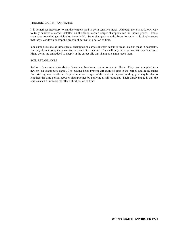#### PERIODIC CARPET SANITIZING

It is sometimes necessary to sanitize carpets used in germ-sensitive areas. Although there is no known way to truly sanitize a carpet installed on the floor, certain carpet shampoos can kill some germs. These shampoos are called germicidal or bactericidal. Some shampoos are also bacterio-static – this simply means that they slow down or stop the growth of germs for a period of time.

You should use one of these special shampoos on carpets in germ-sensitive areas (such as those in hospitals). But they do not completely sanitize or disinfect the carpet. They kill only those germs that they can reach. Many germs are embedded so deeply in the carpet pile that shampoo cannot reach them.

#### SOIL RETARDANTS

Soil retardants are chemicals that leave a soil-resistant coating on carpet fibers. They can be applied to a new or just shampooed carpet. The coating helps prevent dirt from sticking to the carpet, and liquid stains from sinking into the fibers. Depending upon the type of dirt and soil in your building, you may be able to lengthen the time period between shampooings by applying a soil retardant. Their disadvantage is that the soil resistant film wears off after a short period of time.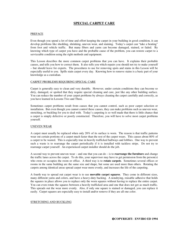#### **SPECIAL CARPET CARE**

#### PREFACE

Even though you spend a lot of time and effort keeping the carpet in your building in good condition, it can develop problems like shedding, shrinking, uneven wear, and staining. Today's carpet can "take a beating" from foot and vehicle traffic. But many fibers and yarns can become damaged, stained, or faded. By knowing which type of carpet you have and the probable cause of the problem, you can restore carpet to a serviceable condition using the right methods and equipment.

This Lesson describes the more common carpet problems that you can have. It explains their probable causes, and tells you how to correct them. It also tells you which repairs you should not try to make yourself – but should leave for experts. The procedures to use for removing spots and stains in this Lesson will be especially useful to you. Spills stain carpet every day. Knowing how to remove stains is a basic part of your knowledge as a custodian.

#### CARPET PROBLEMS REQUIRING SPECIAL CARE

Carpet is generally easy to clean and very durable. However, under certain conditions they can become so dirty, damaged, or spotted that they require special cleaning and care, just like any other building surface. You can reduce the number of your carpet problems by always cleaning the carpet carefully and correctly, as you have learned in Lessons Two and Three.

Sometimes carpet problems result from causes that you cannot control, such as poor carpet selection or installation. But even though you cannot control these causes, they can make problems such as uneven wear, stretching, or buckling for you to deal with. Today's carpeting is so well made that there is little chance that a carpet is simply defective or poorly constructed. Therefore, you will have to solve most carpet problems yourself.

#### UNEVEN WEAR

A carpet must usually be replaced when only 20% of its surface is worn. The reason is that traffic patterns wear out certain portions of a carpet much faster than the rest of the carpet wears. This causes about 80% of a carpet to be wasted. This is especially true in heavily trafficked hallways and lobbies. One way to prevent such a waste is to rearrange the carpet periodically if it is installed with tackless strips. Do not try to rearrange carpet yourself. An experienced carpet installer should do the job.

A second way to prevent uneven wear – and one that you can do – is to **rearrange the furniture** and change the traffic lanes across the carpet. To do this, your supervisor may have to get permission from the person(s) who owns or occupies the room or office. A third way is to **rotate carpets**. Sometimes several offices or rooms in the same building are the same size and shape, but some are used more than others. Rotating the carpets among identical areas spread carpet wear more evenly, and increases the life of the carpeting.

A fourth way to spread out carpet wear is to use **movable carpet squares**. They come in different sizes, many different yarns and colors, and have a heavy-duty backing. A nondrying, reusable adhesive that holds the squares in place allows you to replace only the worn squares without having to replace the entire carpet. You can even rotate the squares between a heavily trafficked area and one that does not get as much traffic. This spreads out the wear more evenly. Also, if only one square is stained or damaged, you can replace it easily. Carpet squares are especially easy to install and/or remove if they are all one color.

#### STRETCHING AND BUCKLING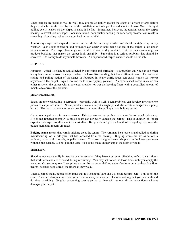When carpets are installed wall-to-wall, they are pulled tightly against the edges of a room or area before they are attached to the floor by one of the installation methods you learned about in Lesson One. The tight pulling exerts tension on the carpet to make it lie flat. Sometimes, however, the tension causes the carpet backing to stretch out of shape. Poor installation, poor quality backing, or very damp weather can result in stretching. Stretching makes the carpet buckle (or wrinkle).

Almost any carpet will expand or loosen up a little bit in damp weather and shrink or tighten up in dry weather. Such slight expansion and shrinkage can occur without being noticed, if the carpet is laid under proper tension. The carpet fastenings will hold it to size in dry weather. But, too much stretching can produce buckling that makes the carpet look unsightly. Stretching is a serious problem that should be corrected. Do not try to do it yourself, however. An experienced carpet installer should do the job.

#### RIPPLING

Rippling – which is related to and affected by stretching and shrinking – is a problem that you can see when heavy loads move across the carpet surface. It looks like buckling, but has a different cause. The constant sliding and pulling action of thousands of footsteps in heavy traffic areas can cause ripples (or waves) anywhere in the carpet. Again, do not try to cure rippling yourself. An experienced carpet installer can either restretch the carpet with a powered stretcher, or wet the backing fibers with a controlled amount of moisture to correct the problem.

#### SEAM PROBLEMS

Seams are the weakest link in carpeting – especially wall-to-wall. Seam problems can develop anywhere two pieces of carpet are joined. Seam problems make a carpet unsightly, and also create a dangerous tripping hazard. The two most common seam problems are seams that pull apart and bulging seams.

Carpet seams pull apart for many reasons. This is a very serious problem that must be corrected right away. If it is not repaired promptly, a pulled seam can seriously damage the carpet. This is another job for an experienced carpet installer – not the custodian. But you should place a length of heavy-duty tape over the pulled seam until repairs are made.

**Bulging seams** means that yarn is sticking up at the seams. The yarn may be a loose strand pulled up during manufacturing, or a pile yarn that has loosened from the backing. Bulging seams are not as serious a problem, or as hard to repair, as pulled seams. To correct bulging seams, simply trim the loose yarn even with the pile surface. Do not pull the yarn. You could make an ugly gap at the seam if you do.

#### SHEDDING

Shedding occurs naturally in new carpets, especially if they have a cut pile. Shedding refers to yarn fibers that work loose and are removed during vacuuming. You may not notice the loose fibers until you empty the vacuum. Or, you may see fibers piling up on the carpet or drifting under furniture on a hard-surface floor nearby, because people track the fibers as they walk.

When a carpet sheds, people often think that it is losing its yarn and will soon become bare. This is not the case. There are always some loose yarn fibers in every new carpet. There is nothing that you can or should do about shedding. Regular vacuuming over a period of time will remove all the loose fibers without damaging the carpet.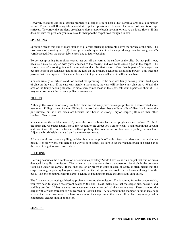However, shedding can be a serious problem if a carpet is in or near a dust-sensitive area like a computer room. There, small floating fibers could stir up the operation of delicate electronic instruments or tape surfaces. To correct the problem, use a heavy-duty or a pile brush vacuum to remove the loose fibers. If this does not cure the problem, you may have to shampoo the carpet even though it is new.

#### SPROUTING

Sprouting means that one or more strands of pile yarn sticks up noticeably above the surface of the pile. The two causes of sprouting are: (1) loose yarn caught by accident in the carpet during manufacturing, and (2) yarn loosened from the carpet fabric itself due to faulty backing.

To correct sprouting from either cause, just cut off the yarn at the surface of the pile. Do not pull it out, because it may be tangled with yarns attached to the backing and you could cause a gap in the carpet. The second case of sprouting is much more serious than the first cause. Yarn that is part of the carpet can become loose if the adhesive that holds the tufts on the primary back loses its holding power. This frees the yarn so that it can sprout. If the carpet loses a lot of yarn in a small area, it will become bare.

You can usually tell which condition caused the sprouting. If the case was faulty backing, you'll find spots of glue on the yarn. If the case was merely a loose yarn, the yarn will not have any glue on it. Watch the area of the faulty backing closely. If more yarn comes loose in that spot, tell your supervisor about it. He may want to contact the carpet supplier or contractor.

#### PILLING

Although the invention of strong synthetic fibers solved many previous carpet problems, it also created some new ones. Pilling is one of them. Pilling is the word that describes the little balls of fiber that form on the pile surface, but will not break off because the fiber is so strong. Nylon carpet pills more than other synthetic fiber carpets.

You can make the problem worse if you set the brush or beater bar on an upright vacuum too low. To check the brush and /or beater height, move the vacuum to the carpet you want to clean. Then, plug in the vacuum and turn it on. If it moves forward without pushing, the brush is set too low, and is pulling the machine. Adjust the brush heights upward until the movement stops.

All you can do to correct a pilling problem is to cut the pills off with scissors, a safety razor, or a silicone block. It is slow work, but there is no way to do it faster. Be sure to set the vacuum brush or beater bar at the correct height as you learned above.

#### BLEEDING

Bleeding describes the discoloration or sometimes powdery "white line" stains on a carpet that outline areas damaged by spills or moisture. The moisture may have come from dampness or chemicals in the concrete floor slab under the carpet. If the lines are tan or brown in color instead of white, it often means that the carpet backing or padding has gotten wet, and that the pile yarns have soaked up a brown coloring from the back. The dye or natural color in carpet backing or padding can make the line stains dark quick.

The first step in correcting a bleeding problem is to stop the moisture. If it is coming from the concrete slab, you may need to apply a waterproof sealer to the slab. Next, make sure that the carpet pile, backing, and padding are dry. If they are not, use a wet-tank vacuum to pull all the moisture out. Then shampoo the carpet with a water extractor as you learned in Lesson Three. A detergent in the shampoo solution may help remove the stain. You may even have to shampoo the carpet more than once. If the bleeding is very bad, a commercial cleaner should do the job.

#### SHADING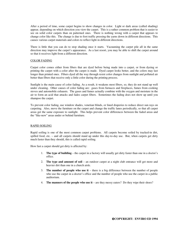After a period of time, some carpet begins to show changes in color. Light or dark areas (called shading) appear, depending on which direction you view the carpet. This is a rather common problem that is easier to see on solid color carpets than on patterned ones. There is nothing wrong with a carpet that appears to change color like this. The change is due to foot traffic pressing the yarns down in different directions. This causes various carpet materials and colors to reflect light in different directions.

There is little that you can do to stop shading once it starts. Vacuuming the carpet pile all in the same direction may improve the carpet's appearance. As a last resort, you may be able to shift the carpet around so that it receives light from a different direction.

#### COLOR FADING

Carpet color comes either from fibers that are dyed before being made into a carpet, or from dyeing or printing the carpet with a color after the carpet is made. Dyed carpet looks better, and the colors may last longer than printed ones. Fibers dyed all the way through resist color changes from sunlight and polluted air better than fibers that receive only a little color during the printing process.

Sunlight is the main cause of color fading. As a result, it weakens most fibers, so, they do not stand up well under cleaning. Other causes of color fading are: gases from furnaces and fireplaces, fumes from cooking stoves and automobile exhausts. The gases and fumes actually combine with the oxygen and moisture in the air to form an acid that attacks and fades carpet fibers. Sometimes the fading does not show up until you shampoo the carpet.

To prevent color fading, use window shades, venetian blinds, or lined draperies to reduce direct sun rays on carpeting. Also, move the furniture on the carpet and change the traffic lanes periodically, so that all carpet areas get the same exposure to sunlight. This helps prevent color differences between the faded areas and the "like-new" areas under or behind furniture.

#### RAPID SOILING

Rapid soiling is one of the most common carpet problems. All carpets become soiled by tracked-in dirt, spilled food, etc. – and all carpets should stand up under this day-to-day use. But, when carpets get dirty much faster than they should, this is called rapid soiling.

How fast a carpet should get dirty is affected by:

- 1. **The type of building** the carpet in a factory will usually get dirty faster than one in a doctor's office.
- 2. **The type and amount of soil** an outdoor carpet at a night club entrance will get more and heavier dirt than one in a church aisle.
- 3. **The number of people who use it** there is a big difference between the number of people who use the carpet in a doctor's office and the number of people who use the carpet in a public auditorium.
- 4. **The manners of the people who use it** are they messy eaters? Do they wipe their shoes?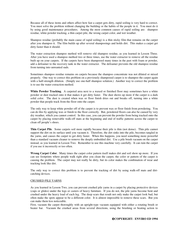Because all of these items and others affect how fast a carpet gets dirty, rapid soiling is very hard to correct. You must solve the problem without changing the building or the habits of the people in it. You must do it by using good maintenance procedures. Among the most common causes of rapid soiling are: shampoo residue, white powder tracking, a thin carpet pile, the wrong carpet color, and wet weather.

Shampoo residue (probably the main cause of rapid soiling) is a thin sticky film that remains on the carpet after you shampoo it. The film builds up after several shampooings and holds dirt. This makes a carpet get dirty faster than it should.

The water extraction shampoo method will remove old shampoo residue, as you learned in Lesson Three. After you have used a shampoo method two or three times, use the water extractor to remove all the residue built up on your carpets. If the carpets have been shampooed many times in the past with foam or powder, add a defoamer to the recovery tank in the water extractor. The defoamer prevents the old shampoo residue from turning into unwanted suds.

Sometimes shampoo residue remains on carpets because the shampoo concentrate was not diluted or mixed properly. One way to correct this problem on a previously shampooed carpet is to shampoo the carpet again with a half-strength dilution. (Simply use one-half shampoo solution.) Another way to correct the problem is to use the water extraction method.

**White Powder Tracking**. A carpeted area next to a waxed or finished floor may sometimes have a white powder or dust tracked onto it that makes it get dirty faster. The dust shows up more if the carpet is a dark solid color. The dust is created when wax or floor finish dries out and breaks off, turning into a white powder that people track from the floor onto the carpet.

The only way to keep white powder off of the carpet is to prevent wax or floor finish from powdering. You can do this by applying wax or finish to the floor correctly. But, powdered floors can also be caused by very dry weather, which you cannot control. In this case, you can prevent the powder from being tracked onto the carpet by placing removable walk-off mats at the beginning and end of traffic patterns across the carpet to clean off people's shoes.

**Thin Carpet Pile**. Some carpets soil more rapidly because their pile is thin (not dense). Thin pile cannot support the dirt on its surface until you vacuum it. Therefore, the dirt sinks into the pile, becomes tangled in the yarns, and causes the carpet to get dirty faster. When this happens, you need something more powerful than a standard vacuum cleaner to remove the deeply embedded dirt. Use a pile brush vacuum on the carpet instead, as you learned in Lesson Two. Remember to use this machine very carefully. It can ruin the carpet if you use it incorrectly or too often.

**Wrong Carpet Color**. Many times the carpet color pattern itself makes dirt and soil show up more. If you can see footprints where people walk right after you clean the carpet, the color or pattern of the carpet is causing the problem. The carpet may not really be dirty, but its color makes the combination of wear and tracking look like dirt.

The only way to correct this problem is to prevent the tracking of dirt by using walk-off mats and dirtcatching devices.

#### CRUSHED PILE YARNS

As you learned in Lesson Two, you can prevent crushed pile yarns in a carpet by placing protective devices (cups or glides) under the legs or casters of heavy furniture. If you do not, the pile yarns become bent and crushed under the heavy load of each leg. The deep scars that result not only make the carpet look bad, but often make the spots appear to be a different color. It is almost impossible to remove these scars. But you can make them less noticeable.

First, vacuum the carpet thoroughly with an upright-type vacuum equipped with either a rotating brush or beater bar. Vacuum the crushed areas from several directions, using the brushing or beating action to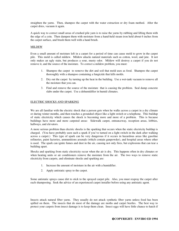straighten the yarns. Then, shampoo the carpet with the water extraction or dry foam method. After the carpet dries, vacuum it again.

A quick way to correct small areas of crushed pile yarn is to raise the yarns by rubbing and lifting them with the edge of a coin. Then dampen them with moisture from a hand-held steam iron held about 6 inches from the carpet surface, and brush them well with a hand brush.

#### MILDEW

Even a small amount of moisture left in a carpet for a period of time can cause mold to grow in the carpet pile. This mold is called mildew. Mildew attacks natural materials such as cotton, wool, and jute. It not only makes an ugly stain, but produces a sour, musty odor. Mildew will destroy a carpet if you do not remove it, and the source of the moisture. To correct a mildew problem, you must:

- 1. Shampoo the carpet to remove the dirt and soil that mold uses as food. Shampoo the carpet thoroughly with a shampoo containing a fungicide that kills molds.
- 2. Dry out the carpet by turning up the heat in the building. Use a wet-tank vacuum to remove all the moisture that you can.
- 3. Find and remove the source of the moisture that is causing the problem. Seal damp concrete slabs under the carpet. Use a dehumidifier in humid climates.

#### ELECTRIC SHOCKS AND SPARKING

We are all familiar with the electric shock that a person gets when he walks across a carpet in a dry climate or during winter months, and then touches a grounded object like a light switch or a telephone. This buildup of static electricity which causes the shock is becoming more and more of a problem. This is because buildings have more and more carpeted areas: Sidewalk carpet, entranceway, reception areas, lobbies, hallways, and elevators.

A more serious problem than electric shocks is the sparking that occurs when the static electricity buildup is charged. (You have probably seen such a spark if you've turned on a light switch in the dark after walking across a carpet.) This type of spark can be very dangerous if it occurs in hazardous areas like gasoline refineries, paint factories, ammunitions arsenals (which contain gunpowder), and hospital areas where ether is used. The spark can ignite fumes and dust in the air, causing not only fires, but explosions that can tear a building apart.

Shocks and sparking from static electricity occur when the air is dry. This happens often in dry climates or when heating units or air conditioners remove the moisture from the air. The two ways to remove static electricity from carpets, and eliminate shocks and sparking are:

- 1. Increase the amount of moisture in the air with a humidifier.
- 2. Apply antistatic spray to the carpet.

Some antistatic sprays cause dirt to stick to the sprayed carpet pile. Also, you must respray the carpet after each shampooing. Seek the advice of an experienced carpet installer before using any antistatic agent.

Insects attack natural fiber yarns. They usually do not attack synthetic fiber yarns unless food has been spilled on them. The insects that do most of the damage are moths and carpet beetles. The best way to protect your carpets from insect damage is to keep them clean. Insect eggs will have little chance to hatch if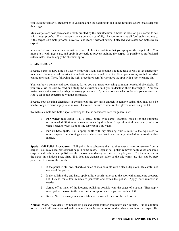you vacuum regularly. Remember to vacuum along the baseboards and under furniture where insects deposit their eggs.

Most carpets are now permanently moth-proofed by the manufacturer. Check the label on your carpet to see if it is moth-proofed. If not, vacuum the carpet extra carefully. Be sure to remove all food stains promptly. If the carpet isn't moth-proofed, never roll and store it without having it cleaned and treated for moths by an expert.

You can kill some carpet insects with a powerful chemical solution that you spray on the carpet pile. You must use it with great care, and apply it correctly to prevent staining the carpet. If possible, a professional exterminator should apply the chemical spray.

#### STAIN REMOVAL

Because carpet is now used so widely, removing stains has become a routine task as well as an emergency treatment. Stain removal is easier if you do it immediately and correctly. First, you must try to find out what caused the stain. Then, following the right procedures carefully, remove the spot with a spot-cleaning kit.

You can buy a commercial spot-cleaning kit or you can make one using common household chemicals. If you buy a kit, be sure to read and study the instructions until you understand them thoroughly. You can make many stains worse by using the wrong procedure. If you are not sure what to do, ask your supervisor. Above all do not experiment with the chemicals.

Because spot-cleaning chemicals in commercial kits are harsh enough to remove stains, they may also be harsh enough to cause injury to your skin. Therefore, be sure to wear rubber gloves when using the kit.

To make a simple two-bottle spot-removing kit that is considered safe for general use:

- 1. **For water-base spots**. Fill a spray bottle with carpet shampoo mixed for the strongest recommended dilution, or a solution made by dissolving 1 tsp. of neutral detergent (similar to what is used to wash wool or fine fabrics) in 1 pt. water.
- 2. **For oil-base spots**. Fill a spray bottle with dry cleaning fluid (similar to the type used to remove spots from clothing) whose label states that it is especially intended to be used on fine fabrics.

**Special Nail Polish Procedures**. Nail polish is a substance that requires special care to remove from a carpet. You may need professional help in some cases. Regular nail polish remover badly discolors some carpets and both the nail polish and the remover can damage certain carpet pile yarns. Try the remover on the carpet in a hidden place first. If it does not damage the color of the pile yarns, use this step-by-step procedure to remove the polish:

- 1. If the polish is still wet, absorb as much of it as possible with a clean, dry cloth. Be careful not to spread the polish.
- 2. If the polish is dry and hard, apply a little polish remover to the spot with a medicine dropper. Let it stand for a few minutes to penetrate and soften the polish. Apply more remover if needed.
- 3. Scrape off as much of the loosened polish as possible with the edges of a spoon. Then apply more polish remover to the spot, and soak up as much as you can with a cloth.
- 4. Repeat Step 3 as many times as it takes to remove all traces of the nail polish.

**Animal Odors**. "Accidents" by household pets and small children frequently stain carpets. But, in addition to the stain itself, every animal stain almost always leaves an odor as the urine soaks into the carpet pile.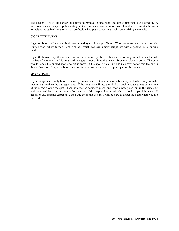The deeper it soaks, the harder the odor is to remove. Some odors are almost impossible to get rid of. A pile brush vacuum may help, but setting up the equipment takes a lot of time. Usually the easiest solution is to replace the stained area, or have a professional carpet cleaner treat it with deodorizing chemicals.

#### CIGARETTE BURNS

Cigarette burns will damage both natural and synthetic carpet fibers. Wool yarns are very easy to repair. Burned wool fibers form a light, fine ash which you can simply scrape off with a pocket knife, or fine sandpaper.

Cigarette burns in synthetic fibers are a more serious problem. Instead of forming an ash when burned, synthetic fibers melt, and form a hard, unsightly knot or blob that is dark brown or black in color. The only way to repair the burned spot is to cut it away. If the spot is small, no one may ever notice that the pile is thin at that spot. But, if the burned section is large, you may have to replace part of the carpet.

#### SPOT REPAIRS

If your carpets are badly burned, eaten by insects, cut or otherwise seriously damaged, the best way to make repairs is to replace the damaged area. If the area is small, use a tool like a cookie cutter to cut out a circle of the carpet around the spot. Then, remove the damaged piece, and insert a new piece (cut in the same size and shape and by the same cutter) from a scrap of the carpet. Use a little glue to hold the patch in place. If the patch and original carpet have the same color and design, it will be hard to detect the patch when you are finished.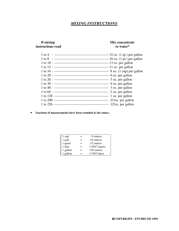## *MIXING INSTRUCTIONS*

## **instructions read** to water\*

## **If mixing Mix concentrate**

| 1 to 4   |                  |
|----------|------------------|
|          |                  |
|          |                  |
|          |                  |
|          |                  |
|          |                  |
|          |                  |
|          |                  |
|          |                  |
|          |                  |
|          | 1 oz. per gallon |
| 1 to 200 |                  |
| 1 to 256 |                  |
|          |                  |

• **fractions of measurements have been rounded to the ounce.** 

|     | 8 ounces        |
|-----|-----------------|
| $=$ | 16 ounces       |
| =   | 32 ounces       |
| =   | $1.0567$ quarts |
| =   | 128 ounces      |
|     | 3.7853 liters   |
|     |                 |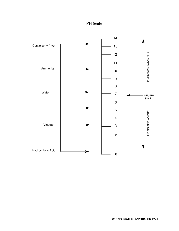

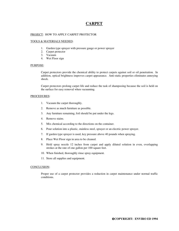### **CARPET**

#### PROJECT: HOW TO APPLY CARPET PROTECTOR

#### TOOLS & MATERIALS NEEDED:

- 1. Garden type sprayer with pressure gauge or power sprayer
- 2. Carpet protector
- 3. Vacuum
- 4. Wet Floor sign

#### PURPOSE:

 Carpet protectors provide the chemical ability to protect carpets against soil or oil penetration. In addition, optical brightness improves carpet appearance. Anti-static properties eliminates annoying shock.

 Carpet protectors prolong carpet life and reduce the task of shampooing because the soil is held on the surface for easy removal when vacuuming.

#### PROCEDURES:

- 1. Vacuum the carpet thoroughly.
- 2. Remove as much furniture as possible.
- 3. Any furniture remaining, foil should be put under the legs.
- 4. Remove stains.
- 5. Mix chemical according to the directions on the container.
- 6. Pour solution into a plastic, stainless steel, sprayer or an electric power sprayer.
- 7. If garden type sprayer is used, key pressure above 40 pounds when spraying.
- 8. Place Wet Floor sign in area to be cleaned.
- 9. Hold spray nozzle 12 inches from carpet and apply diluted solution in even, overlapping strokes at the rate of one gallon per 100 square feet.
- 10. When finished, thoroughly rinse spray equipment.
- 11. Store all supplies and equipment.

#### CONCLUSION:

 Proper use of a carpet protector provides a reduction in carpet maintenance under normal traffic conditions.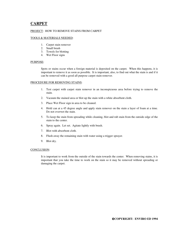## **CARPET**

#### PROJECT: HOW TO REMOVE STAINS FROM CARPET

#### TOOLS & MATERIALS NEEDED:

- 1. Carpet stain remover
- 2. Small brush
- 3. Towels for blotting
- 4. Wet Floor signs

#### PURPOSE:

 Spots or stains occur when a foreign material is deposited on the carpet. When this happens, it is important to remove it as soon as possible. It is important, also, to find out what the stain is and if it can be removed with a good all purpose carpet stain remover.

#### PROCEDURE FOR REMOVING STAINS:

- 1. Test carpet with carpet stain remover in an inconspicuous area before trying to remove the stain.
- 2. Vacuum the stained area or blot up the stain with a white absorbent cloth.
- 3. Place Wet Floor sign in area to be cleaned.
- 4. Hold can at a 45 degree angle and apply stain remover on the stain a layer of foam at a time. Do not overwet the stain.
- 5. To keep the stain from spreading while cleaning, blot and rub stain from the outside edge of the stain to the center.
- 6. Spray again. Let set. Agitate lightly with brush.
- 7. Blot with absorbent cloth.
- 8. Flush away the remaining stain with water using a trigger sprayer.
- 9. Blot dry.

#### CONCLUSION:

 It is important to work from the outside of the stain towards the center. When removing stains, it is important that you take the time to work on the stain so it may be removed without spreading or damaging the carpet.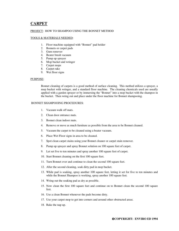## **CARPET**

#### PROJECT: HOW TO SHAMPOO USING THE BONNET METHOD

#### TOOLS & MATERIALS NEEDED:

- 1. Floor machine equipped with "Bonnet" pad holder
- 2. Bonnets or carpet pads
- 3. Gum remover
- 4. Beater brush vacuum
- 5. Pump up sprayer
- 6. Mop bucket and wringer
- 7. Carpet mops
- 8. Carpet rake
- 9. Wet floor signs

#### PURPOSE:

 Bonnet cleaning of carpets is a good method of surface cleaning. This method utilizes a sprayer, a mop bucket with wringer, and a standard floor machine. The cleaning chemicals used are usually applied with a garden sprayer or by immersing the "Bonnet" into a mop bucket with the shampoo in the bucket. Then wring out and place under the floor machine for Bonnet shampooing.

#### BONNET SHAMPOOING PROCEDURES:

- 1. Vacuum walk off mats.
- 2. Clean door entrance mats.
- 3. Bonnet clean indoor mats.
- 4. Remove or move as much furniture as possible from the area to be Bonnet cleaned.
- 5. Vacuum the carpet to be cleaned using a beater vacuum.
- 6. Place Wet Floor signs in area to be cleaned.
- 7. Spot clean carpet stains using your Bonnet cleaner or carpet stain remover.
- 8. Pump up sprayer and spray Bonnet solution on 100 square feet of carpet.
- 9. Let set five to ten minutes and spray another 100 square feet of carpet.
- 10. Start Bonnet cleaning on the first 100 square feet.
- 11. Turn Bonnet over and continue to clean the second 100 square feet.
- 12. After the second cleaning, soak dirty pad in mop bucket.
- 13. While pad is soaking, spray another 100 square feet, letting it set for five to ten minutes and while the Bonnet Shampoo is working, spray another 100 square feet.
- 14. Wring out the soaking pad as dry as possible.
- 15. Now clean the first 100 square feet and continue on to Bonnet clean the second 100 square feet.
- 16. Use a clean Bonnet whenever the pads become dirty.
- 17. Use your carpet mop to get into corners and around other obstructed areas.
- 18. Rake the nap up.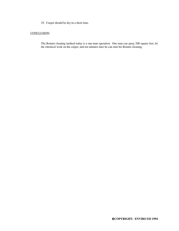19. Carpet should be dry in a short time.

#### CONCLUSION:

 The Bonnet cleaning method today is a one-man operation. One man can spray 200 square feet, let the chemical work on the carpet, and ten minutes later he can start his Bonnet cleaning.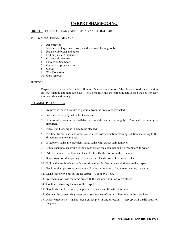## **CARPET SHAMPOOING**

#### PROJECT: HOW TO CLEAN CARPET USING AN EXTRACTOR

#### TOOLS & MATERIALS NEEDED:

- 1. An extractor
- 2. Vacuum, tank type with hose, wand, and rug cleaning tools
- 3. Hand scrub brush and bucket
- 4. Foil or plastic 2" squares
- 5. Carpet stain remover
- 6. Extraction Shampoo
- 7. Optional: upright vacuum
- 8. Gloves
- 9. Wet Floor sign
- 10. Gum remover

#### PURPOSE:

 Carpet extraction provides rapid soil emulsification since most of the cleaners used for extraction are low foaming and non-corrosive. They penetrate into the carpeting and loosen the soil for easy removal while extracting.

#### CLEANING PROCEDURES:

- 1. Remove as much furniture as possible from the area to be extracted.
- 2. Vacuum thoroughly with a beater vacuum.
- 3. If a wet/dry vacuum is available, vacuum the carpet thoroughly. Thorough vacuuming is important.
- 4. Place Wet Floor signs in area to be cleaned.
- 5. Pre-treat traffic lanes and other soiled areas with extraction cleaning solution according to the directions on the container.
- 6. If stubborn stains are prevalent, spray stains with carpet stain remover.
- 7. Dilute shampoo according to the directions on the container and fill machine with water.
- 8. Add defoamer to the hose and tank. Follow the directions on the container.
- 9. Start extraction shampooing in the upper left hand corner of the room or hall.
- 10. Follow the machine's manufacturer directions for feeding the solution onto the carpet.
- 11. Feed the shampoo solution as you pull back on the wand. Avoid over-wetting the carpet.
- 12. Make four or five passes on the carpet - 3 foot by 5 foot.
- 13. Re-vacuum or rinse the same area with the shampoo solution valve closed.
- 14. Continue extracting the rest of the carpet.
- 15. Should rinsing be required, empty the extractor and fill with rinse water.
- 16. Go over the carpet using water only. (follow manufacturers directions on the machine)
- 17. After extraction or rinsing, brush carpet pile in one direction - nap up with a stiff brush or shag rake.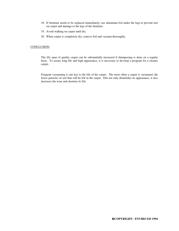- 18. If furniture needs to be replaced immediately, use aluminum foil under the legs to prevent rust on carpet and damage to the legs of the furniture.
- 19. Avoid walking on carpet until dry.
- 20. When carpet is completely dry, remove foil and vacuum thoroughly.

#### CONCLUSION:

 The life span of quality carpet can be substantially increased if shampooing is done on a regular basis. To assure long life and high appearance, it is necessary to develop a program for a cleaner carpet.

 Frequent vacuuming is one key to the life of the carpet. The more often a carpet is vacuumed, the fewer particles of soil that will be left in the carpet. Dirt not only diminishes its appearance, it also increases the wear and shortens its life.